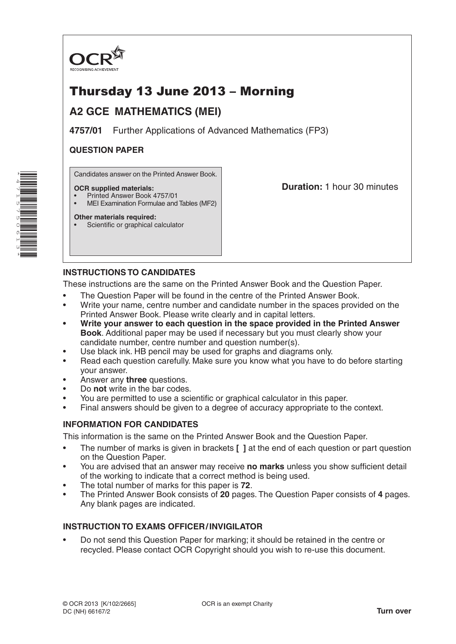

# Thursday 13 June 2013 – Morning

## **A2 GCE MATHEMATICS (MEI)**

**4757/01** Further Applications of Advanced Mathematics (FP3)

## **QUESTION PAPER**

Candidates answer on the Printed Answer Book.

### **OCR supplied materials:**

- Printed Answer Book 4757/01
- MEI Examination Formulae and Tables (MF2)

## **Duration:** 1 hour 30 minutes

## **Other materials required:**

Scientific or graphical calculator

## **INSTRUCTIONS TO CANDIDATES**

These instructions are the same on the Printed Answer Book and the Question Paper.

- The Question Paper will be found in the centre of the Printed Answer Book.
- Write your name, centre number and candidate number in the spaces provided on the Printed Answer Book. Please write clearly and in capital letters.
- **• Write your answer to each question in the space provided in the Printed Answer Book**. Additional paper may be used if necessary but you must clearly show your candidate number, centre number and question number(s).
- Use black ink. HB pencil may be used for graphs and diagrams only.
- Read each question carefully. Make sure you know what you have to do before starting your answer.
- Answer any **three** questions.
- Do **not** write in the bar codes.
- You are permitted to use a scientific or graphical calculator in this paper.
- Final answers should be given to a degree of accuracy appropriate to the context.

### **INFORMATION FOR CANDIDATES**

This information is the same on the Printed Answer Book and the Question Paper.

- The number of marks is given in brackets **[ ]** at the end of each question or part question on the Question Paper.
- You are advised that an answer may receive **no marks** unless you show sufficient detail of the working to indicate that a correct method is being used.
- The total number of marks for this paper is **72**.
- The Printed Answer Book consists of **20** pages. The Question Paper consists of **4** pages. Any blank pages are indicated.

### **INSTRUCTION TO EXAMS OFFICER/INVIGILATOR**

• Do not send this Question Paper for marking; it should be retained in the centre or recycled. Please contact OCR Copyright should you wish to re-use this document.

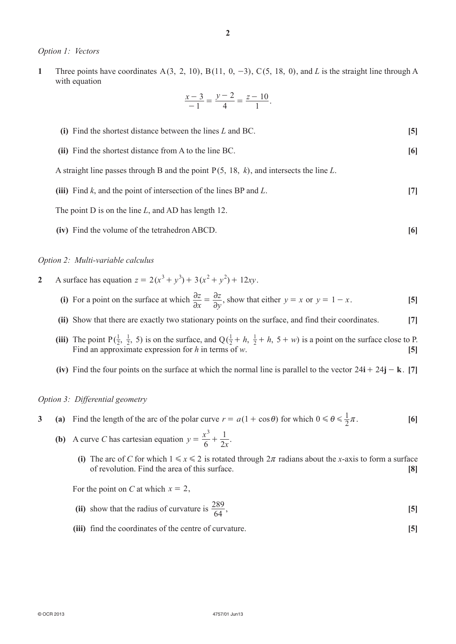#### *Option 1: Vectors*

**1** Three points have coordinates A(3, 2, 10), B(11, 0, -3), C(5, 18, 0), and *L* is the straight line through A with equation

$$
\frac{x-3}{-1} = \frac{y-2}{4} = \frac{z-10}{1}.
$$

| (i) Find the shortest distance between the lines $L$ and BC.                              | $\vert 5 \vert$ |
|-------------------------------------------------------------------------------------------|-----------------|
| (ii) Find the shortest distance from A to the line BC.                                    | [6]             |
| A straight line passes through B and the point $P(5, 18, k)$ , and intersects the line L. |                 |
| (iii) Find $k$ , and the point of intersection of the lines BP and $L$ .                  | 171             |
| The point D is on the line L, and AD has length 12.                                       |                 |

**(iv)** Find the volume of the tetrahedron ABCD. **[6]**

#### *Option 2: Multi-variable calculus*

- **2** A surface has equation  $z = 2(x^3 + y^3) + 3(x^2 + y^2) + 12xy$ .
	- **(i)** For a point on the surface at which  $\frac{\partial z}{\partial x} = \frac{\partial z}{\partial y}$  $\partial x$   $\partial y$  $\partial$  $=\frac{\partial z}{\partial y}$ , show that either  $y = x$  or  $y = 1 - x$ . [5]
	- **(ii)** Show that there are exactly two stationary points on the surface, and find their coordinates. **[7]**
	- **(iii)** The point  $P(\frac{1}{2}, \frac{1}{2}, 5)$  $\frac{1}{2}$ , 5) is on the surface, and Q( $\frac{1}{2}$  + h,  $\frac{1}{2}$  + h, 5 + w) +  $h$ ,  $\frac{1}{2}$  +  $h$ , 5 + w) is a point on the surface close to P. Find an approximate expression for *h* in terms of *w*. **[5]**
	- (iv) Find the four points on the surface at which the normal line is parallel to the vector  $24\mathbf{i} + 24\mathbf{j} \mathbf{k}$ . [7]

#### *Option 3: Differential geometry*

- **3** (a) Find the length of the arc of the polar curve  $r = a(1 + \cos \theta)$  for which  $0 \le \theta \le \frac{1}{2}\pi$ . [6]
- **(b)** A curve *C* has cartesian equation  $y = \frac{x}{4}$ 6 2*x*  $=\frac{x^3}{6}+\frac{1}{2}$ .
	- **(i)** The arc of *C* for which  $1 \le x \le 2$  is rotated through  $2\pi$  radians about the *x*-axis to form a surface of revolution. Find the area of this surface. **[8]**

For the point on *C* at which  $x = 2$ ,

- (ii) show that the radius of curvature is  $\frac{289}{64}$ ,  $\frac{289}{64}$ , [5]
- **(iii)** find the coordinates of the centre of curvature. **[5]**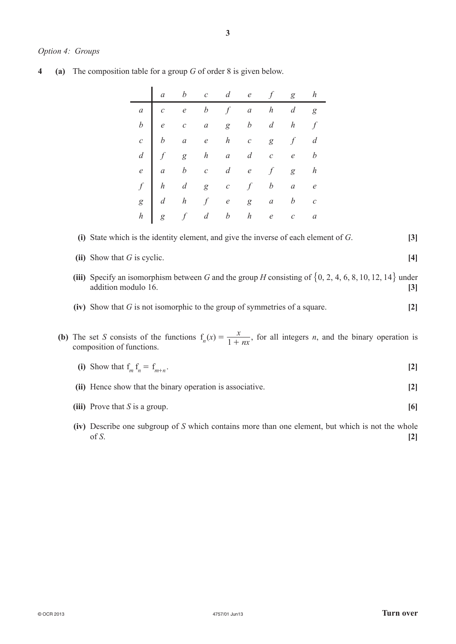#### *Option 4: Groups*

**4** (a) The composition table for a group *G* of order 8 is given below.

|  | $\begin{array}{ ccccccccccccccccccc }\hline a&b&c&d&e&f&g&h \end{array}$                                                                                                                                                                                                                                                                      |  |  |  |
|--|-----------------------------------------------------------------------------------------------------------------------------------------------------------------------------------------------------------------------------------------------------------------------------------------------------------------------------------------------|--|--|--|
|  |                                                                                                                                                                                                                                                                                                                                               |  |  |  |
|  |                                                                                                                                                                                                                                                                                                                                               |  |  |  |
|  |                                                                                                                                                                                                                                                                                                                                               |  |  |  |
|  |                                                                                                                                                                                                                                                                                                                                               |  |  |  |
|  |                                                                                                                                                                                                                                                                                                                                               |  |  |  |
|  |                                                                                                                                                                                                                                                                                                                                               |  |  |  |
|  |                                                                                                                                                                                                                                                                                                                                               |  |  |  |
|  | $\begin{array}{cccccccccccccccc} a & c & e & b & f & a & h & d & g\\ b & e & c & a & g & b & d & h & f\\ c & b & a & e & h & c & g & f & d\\ d & f & g & h & a & d & c & e & b\\ e & a & b & c & d & e & f & g & h\\ f & h & d & g & c & f & b & a & e\\ g & d & h & f & e & g & a & b & c\\ h & g & f & d & b & h & e & c & a\\ \end{array}$ |  |  |  |

### **(i)** State which is the identity element, and give the inverse of each element of *G*. **[3]**

| (ii) Show that $G$ is cyclic. |  |
|-------------------------------|--|
|                               |  |

- **(iii)** Specify an isomorphism between *G* and the group *H* consisting of  $\{0, 2, 4, 6, 8, 10, 12, 14\}$  under addition modulo 16. **[3]**
- **(iv)** Show that *G* is not isomorphic to the group of symmetries of a square. **[2]**
- **(b)** The set *S* consists of the functions  $f_n(x) = \frac{x}{1 + nx}$ , for all integers *n*, and the binary operation is composition of functions.
	- **(i)** Show that  $f_m f_n = f_{m+n}$ . [2]
	- **(ii)** Hence show that the binary operation is associative. **[2]**
	- *(iii)* Prove that *S* is a group.  $[6]$
	- **(iv)** Describe one subgroup of *S* which contains more than one element, but which is not the whole of *S*. **[2]**